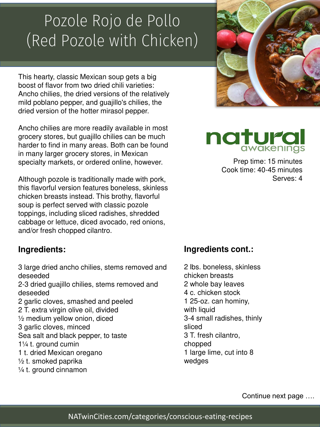# Pozole Rojo de Pollo (Red Pozole with Chicken)

This hearty, classic Mexican soup gets a big boost of flavor from two dried chili varieties: Ancho chilies, the dried versions of the relatively mild poblano pepper, and guajillo's chilies, the dried version of the hotter mirasol pepper.

Ancho chilies are more readily available in most grocery stores, but guajillo chilies can be much harder to find in many areas. Both can be found in many larger grocery stores, in Mexican specialty markets, or ordered online, however.

Although pozole is traditionally made with pork, this flavorful version features boneless, skinless chicken breasts instead. This brothy, flavorful soup is perfect served with classic pozole toppings, including sliced radishes, shredded cabbage or lettuce, diced avocado, red onions, and/or fresh chopped cilantro.

### **Ingredients:**

3 large dried ancho chilies, stems removed and deseeded

2-3 dried guajillo chilies, stems removed and deseeded

2 garlic cloves, smashed and peeled 2 T. extra virgin olive oil, divided ½ medium yellow onion, diced 3 garlic cloves, minced Sea salt and black pepper, to taste 1¼ t. ground cumin

- 1 t. dried Mexican oregano
- $\frac{1}{2}$  t. smoked paprika
- ¼ t. ground cinnamon





Prep time: 15 minutes Cook time: 40-45 minutes Serves: 4

### **Ingredients cont.:**

2 lbs. boneless, skinless chicken breasts 2 whole bay leaves 4 c. chicken stock 1 25-oz. can hominy, with liquid 3-4 small radishes, thinly sliced 3 T. fresh cilantro, chopped 1 large lime, cut into 8 wedges

Continue next page ….